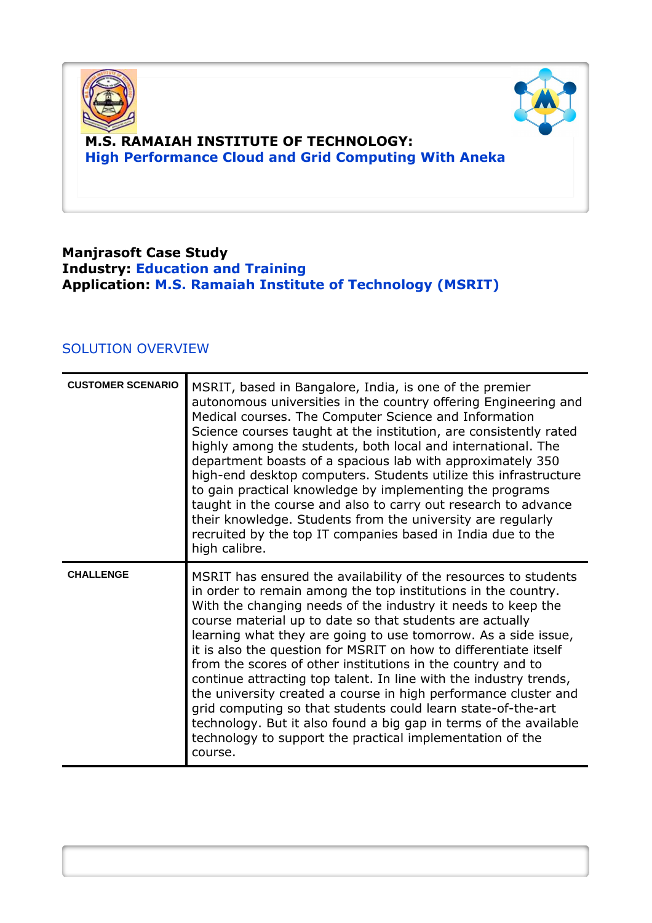



# **M.S. RAMAIAH INSTITUTE OF TECHNOLOGY: High Performance Cloud and Grid Computing With Aneka**

## **Manjrasoft Case Study Industry: Education and Training Application: M.S. Ramaiah Institute of Technology (MSRIT)**

## SOLUTION OVERVIEW

| <b>CUSTOMER SCENARIO</b> | MSRIT, based in Bangalore, India, is one of the premier<br>autonomous universities in the country offering Engineering and<br>Medical courses. The Computer Science and Information<br>Science courses taught at the institution, are consistently rated<br>highly among the students, both local and international. The<br>department boasts of a spacious lab with approximately 350<br>high-end desktop computers. Students utilize this infrastructure<br>to gain practical knowledge by implementing the programs<br>taught in the course and also to carry out research to advance<br>their knowledge. Students from the university are regularly<br>recruited by the top IT companies based in India due to the<br>high calibre.                                                                                |
|--------------------------|------------------------------------------------------------------------------------------------------------------------------------------------------------------------------------------------------------------------------------------------------------------------------------------------------------------------------------------------------------------------------------------------------------------------------------------------------------------------------------------------------------------------------------------------------------------------------------------------------------------------------------------------------------------------------------------------------------------------------------------------------------------------------------------------------------------------|
| <b>CHALLENGE</b>         | MSRIT has ensured the availability of the resources to students<br>in order to remain among the top institutions in the country.<br>With the changing needs of the industry it needs to keep the<br>course material up to date so that students are actually<br>learning what they are going to use tomorrow. As a side issue,<br>it is also the question for MSRIT on how to differentiate itself<br>from the scores of other institutions in the country and to<br>continue attracting top talent. In line with the industry trends,<br>the university created a course in high performance cluster and<br>grid computing so that students could learn state-of-the-art<br>technology. But it also found a big gap in terms of the available<br>technology to support the practical implementation of the<br>course. |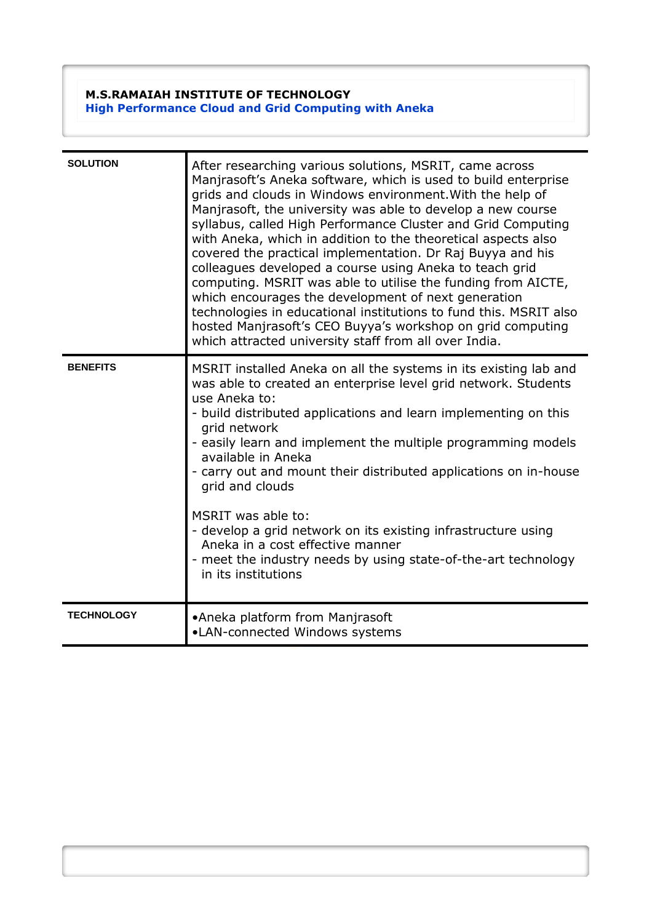#### **M.S.RAMAIAH INSTITUTE OF TECHNOLOGY High Performance Cloud and Grid Computing with Aneka**

| <b>SOLUTION</b>   | After researching various solutions, MSRIT, came across<br>Manjrasoft's Aneka software, which is used to build enterprise<br>grids and clouds in Windows environment. With the help of<br>Manjrasoft, the university was able to develop a new course<br>syllabus, called High Performance Cluster and Grid Computing<br>with Aneka, which in addition to the theoretical aspects also<br>covered the practical implementation. Dr Raj Buyya and his<br>colleagues developed a course using Aneka to teach grid<br>computing. MSRIT was able to utilise the funding from AICTE,<br>which encourages the development of next generation<br>technologies in educational institutions to fund this. MSRIT also<br>hosted Manjrasoft's CEO Buyya's workshop on grid computing<br>which attracted university staff from all over India. |
|-------------------|------------------------------------------------------------------------------------------------------------------------------------------------------------------------------------------------------------------------------------------------------------------------------------------------------------------------------------------------------------------------------------------------------------------------------------------------------------------------------------------------------------------------------------------------------------------------------------------------------------------------------------------------------------------------------------------------------------------------------------------------------------------------------------------------------------------------------------|
| <b>BENEFITS</b>   | MSRIT installed Aneka on all the systems in its existing lab and<br>was able to created an enterprise level grid network. Students<br>use Aneka to:<br>- build distributed applications and learn implementing on this<br>grid network<br>- easily learn and implement the multiple programming models<br>available in Aneka<br>- carry out and mount their distributed applications on in-house<br>grid and clouds<br>MSRIT was able to:<br>- develop a grid network on its existing infrastructure using<br>Aneka in a cost effective manner<br>- meet the industry needs by using state-of-the-art technology<br>in its institutions                                                                                                                                                                                            |
| <b>TECHNOLOGY</b> | •Aneka platform from Manjrasoft<br>•LAN-connected Windows systems                                                                                                                                                                                                                                                                                                                                                                                                                                                                                                                                                                                                                                                                                                                                                                  |